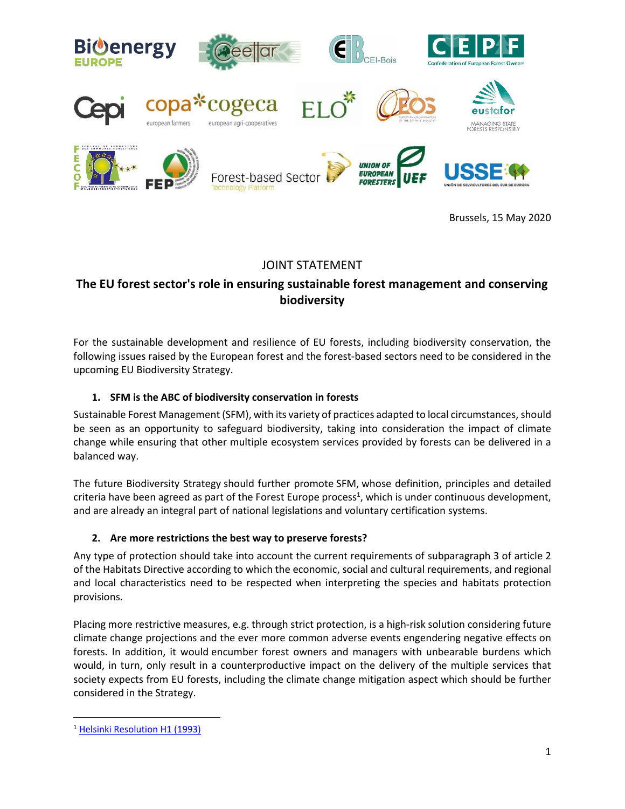

Brussels, 15 May 2020

# JOINT STATEMENT

## **The EU forest sector's role in ensuring sustainable forest management and conserving biodiversity**

For the sustainable development and resilience of EU forests, including biodiversity conservation, the following issues raised by the European forest and the forest-based sectors need to be considered in the upcoming EU Biodiversity Strategy.

## **1. SFM is the ABC of biodiversity conservation in forests**

Sustainable Forest Management (SFM), with its variety of practices adapted to local circumstances, should be seen as an opportunity to safeguard biodiversity, taking into consideration the impact of climate change while ensuring that other multiple ecosystem services provided by forests can be delivered in a balanced way.

The future Biodiversity Strategy should further promote SFM, whose definition, principles and detailed criteria have been agreed as part of the Forest Europe process<sup>1</sup>, which is under continuous development, and are already an integral part of national legislations and voluntary certification systems.

### **2. Are more restrictions the best way to preserve forests?**

Any type of protection should take into account the current requirements of subparagraph 3 of article 2 of the Habitats Directive according to which the economic, social and cultural requirements, and regional and local characteristics need to be respected when interpreting the species and habitats protection provisions.

Placing more restrictive measures, e.g. through strict protection, is a high-risk solution considering future climate change projections and the ever more common adverse events engendering negative effects on forests. In addition, it would encumber forest owners and managers with unbearable burdens which would, in turn, only result in a counterproductive impact on the delivery of the multiple services that society expects from EU forests, including the climate change mitigation aspect which should be further considered in the Strategy.

<sup>&</sup>lt;sup>1</sup> [Helsinki Resolution H1 \(1993\)](https://www.foresteurope.org/docs/MC/MC_helsinki_resolutionH1.pdf)